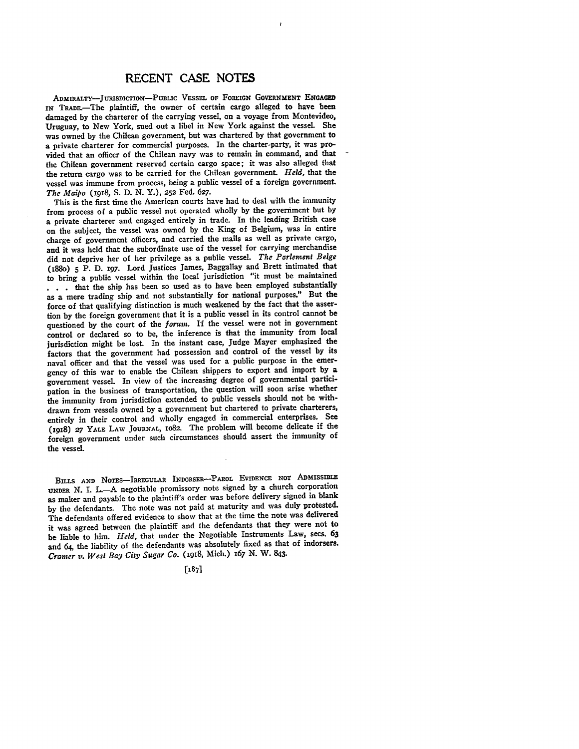## **RECENT CASE NOTES**

ADMIRALTY--JURISDICTION-PUBLIC VESSEL OF FOREIGN GOVERNMENT ENGAGED **IN** TADE.-The plaintiff, the owner of certain cargo alleged to have been damaged **by** the charterer of the carrying vessel, on a voyage from Montevideo, Uruguay, to New York, sued out a libel in New York against the vessel. She was owned **by** the Chilean government, but was chartered **by** that government to a private charterer for commercial purposes. In the charter-party, it was provided that an officer of the Chilean navy was to remain in command, and that the Chilean government reserved certain cargo space; it was also alleged that the return cargo was to be carried for the Chilean government. *Held,* that the vessel was immune from process, being a public vessel of a foreign government. *The Maipo* (i918, **S. D. N.** Y.), **252** Fed. **627.**

This is the first time the American courts have had to deal with the immunity from process of a public vessel not operated wholly **by** the government but **by** a private charterer and engaged entirely in trade. In the leading British case on the subject, the vessel was owned **by** the King of Belgium, was in entire charge of government officers, and carried the mails as well as private cargo, and it was held that the subordinate use of the vessel for carrying merchandise did not deprive her of her privilege as a public vessel. *The Parlement Beige* (188o) **5** P. **D. x97.** Lord Justices James, Baggallay and Brett intimated that to bring a public vessel within the local jurisdiction "it must be maintained **. . .** that the ship has been so used as to have been employed substantially as a mere trading ship and not substantially for national purposes." But the force of that qualifying distinction is much weakened **by** the fact that the assertion **by** the foreign government that it is a public vessel in its control cannot be questioned **by** the court of the *forum.* If the vessel were not in government control or declared so to be, the inference is that the immunity from local jurisdiction might be lost. In the instant case, Judge Mayer emphasized the factors that the government had possession and control of the vessel **by** its naval officer and that the vessel was used for a public purpose in the emergency of this war to enable the Chilean shippers to export and import **by** a government vessel. In view of the increasing degree of governmental participation in the business of transportation, the question will soon arise whether the immunity from jurisdiction extended to public vessels should not be withdrawn from vessels owned **by** a government but chartered to private charterers, entirely in their control and wholly engaged in commercial enterprises. See (1918) **27 YALE** LAW **JOURNAL, I082.** The problem will become delicate if the foreign government under such circumstances should assert the immunity of the vessel.

BILLS AND NOTES-IRREGULAR INDORSER-PAROL EVIDENCE NOT ADMISSIBLE **UNDER N.** I. **L.-A** negotiable promissory note signed by a church corporation as maker and payable to the plaintiff's order was before delivery signed in blank **by** the defendants. The note was not paid at maturity and was duly protested. The defendants offered evidence to show that at the time the note was delivered it was agreed between the plaintiff and the defendants that they were not to be liable to him. *Held,* that under the Negotiable Instruments Law, sees. 63 and 64, the liability of the defendants was absolutely fixed as that of indorsers. *Cramer v. West Bay City Sugar Co.* (x918, Mich.) 167 **N.** W. 843.

**[187]**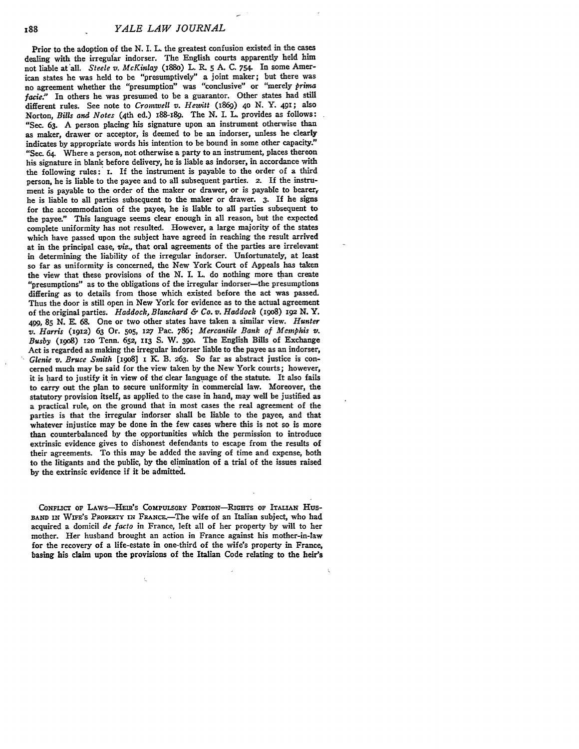*YALE LAW JOURNAL*

Prior to the adoption of the **N.** I. **L.** the greatest confusion existed in the cases dealing with the irregular indorser. The English courts apparently held him not liable at'all. *Steele v. McKinlay* (i88o) L. R. **5** A. C. *754-* In some American states he was held to be "presumptively" a joint maker; but there was no agreement whether the "presumption" was "conclusive' or "merely *prima facie!"* In others he was presumed to be a guarantor. Other states had still different rules. See note to *Cromwell v. Hewitt* (i869) **4o** N. Y. **491;** also Norton, *Bills and Notes* (4th ed.) i88-i89. The N. I. L. provides as follows: "Sec. **63.** A person placing his signature upon an instrument otherwise than as maker, drawer or acceptor, is deemed to be an indorser, unless he clearly indicates **by** appropriate words his intention to be bound in some other capacity." "Sec. 64. Where a person, not otherwise a party to an instrument, places thereon his signature in blank before delivery, he is liable as indorser, in accordance with the following rules: I. If the instrument is payable to the order of a third person, he is liable to the payee and to all subsequent parties. *2.* **If** the instrument is payable to the order of the maker or drawer, or is payable to bearer, he is liable to all parties subsequent to the maker or drawer. **3.** If he signs for the accommodation of the payee, he is liable to all parties subsequent to the payee." This language seems clear enough in all reason, but the expected complete uniformity has not resulted. However, a large majority of the states which have passed upon the subject have agreed in reaching the result arrived at in the principal case, *viz.,* that oral agreements of the parties are irrelevant in determining the liability of the irregular indorser. Unfortunately, at least so far as uniformity is concerned, the New York Court of Appeals has taken the view that these provisions of the **N.** I. L. do nothing more than create "presumptions" as to the obligations of the irregular indorser-the presumptions differing as to details from those which existed before the act was passed. Thus the door is still open in New York for evidence as to the actual agreement of the original parties. *Haddock, Blanchard & Co. v. Haddock* (i9o8) *192 N. Y.* 499, **85** N. **E. 68.** One or two other states have taken a similar view. *Hunter v. Harris* **(z91z) 63** Or. 505, *127* Pac. **786;** *Mercantile Bank of Memphis v. Busby* **(igo8)** *12o* Tenn. **652, 113 S.** W. **39o.** The English Bills of Exchange Act is regarded as making the irregular indorser liable to the payee as an indorser, *Glenie v. Bruce Smith* [i9o8] **I** *K.* B. **263.** So far as abstract justice is concerned much may be said for the view taken **by** the New York courts; however, it is hard to justify it in view of the clear language of the statute. It also fails to carry out the plan to secure uniformity in commercial law. Moreover, the statutory provision itself, as applied to the case in hand, may well be justified as a practical rule, on the ground that in most cases the real agreement of the parties is that the irregular indorser shall be liable to the payee, and that whatever injustice may be done in the few cases where this is not so is more than counterbalanced **by** the opportunities which the permission to introduce extrinsic evidence gives to dishonest defendants to escape from the results of their agreements. To this may be added the saving of time and expense, both to the litigants and the public, **by** the elimination of a trial of the issues raised **by** the extrinsic evidence if it be admitted.

**CoNFLirC OF** LAws-HEm's CoMPuLsoRY **PORTION-RIGHTS OF ITALIAN** Hus-**BAND** IN WiFE's **PROPERTY** IN FRANcx.-The wife of an Italian subject, who had acquired a domicil *de facto* in France, left all of her property **by** will to her mother. Her husband brought an action in France against his mother-in-law for the recovery of a life-estate in one-third of the wife's property in France, basing his claim upon the provisions of the Italian Code relating to the heir's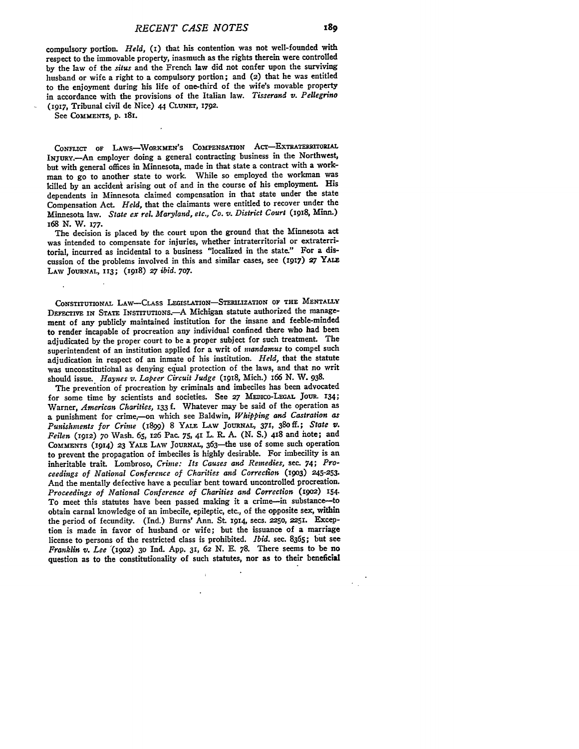compulsory portion. *Held,* **(I)** that his contention was not well-founded with respect to the immovable property, inasmuch as the rights therein were controlled by the law of the *situs* and the French law did not confer upon the surviving husband or wife a right to a compulsory portion; and **(2)** that he was entitled to the enjoyment during his life of one-third of the wife's movable property in accordance with the provisions of the Italian law. *Tisserand v. Pellegrino* (1917, Tribunal civil de Nice) 44 CLUNET, 1792.

See **COMMENTS, p.** i8I.

CONFLICT OF LAWS-WORKMEN'S COMPENSATION ACT-EXTRATERRITORIAL INjuR.-An employer doing a general contracting business in the Northwest, but with general offices in Minnesota, made in that state a contract with a workman to go to another state to work. While so employed the workman was killed by an accident arising out of and in the course of his employment. His dependents in Minnesota claimed compensation in that state under the state Compensation Act. *Held,* that the claimants were entitled to recover under the Minnesota law. *State ex rel. Maryland, etc., Co. v. District Court* (19x8, Minn.) *x68* **N.** W. **177.**

The decision is placed **by** the court upon the ground that the Minnesota act was intended to compensate for injuries, whether intraterritorial or extraterritorial, incurred as incidental to a business "localized in the state." For a discussion of the problems involved in this and similar cases, see **(1917) 27** YALE LAW **JOURNAL, 113; (x9x8)** *27 ibid. 707.*

CONSTITUTIONAL LAw.-CLASS LEGISLATION-STERILIZATION **OF THE MENTALLY** DEFECTIVE IN STATE INSTITUTIONS.<sup>A</sup> Michigan statute authorized the management of any publicly maintained institution for the insane and feeble-minded to render incapable of procreation any individual confined there who had been adjudicated **by** the proper court to be a proper subject for such treatment. The superintendent of an institution applied for a writ of *mandamus* to compel such adjudication in respect of an inmate of his institution. *Held,* that the statute was unconstitutiohal as denying equal protection of the laws, and that no writ should issue. *Haynes v. Lapeer Circuit Judge* (Ig18, Mich.) i66 **N.** W. **938.**

The prevention of procreation **by** criminals and imbeciles has been advocated for some time **by** scientists and societies. See *27* MEDico-LEGAL JouR. **I34;** Warner, *American Charities,* **133 f.** Whatever may be said of the operation as a punishment for crime,-on which see Baldwin, *Whipping and Castration as Punishments for Crime* (1899) **8** YALE LAW **JOURNAL, 371, 380ff.;** *State v. Feilen* (1912) **70** Wash. **65,** 126 Pac. **75,** 41 L. R. **A. (N. S.)** 418 and iote; and **COMMENTs** (r914) **23** YA.LE LAW JouRNAL, 363-the use of some such operation to prevent the propagation of imbeciles is **highly** desirable. For imbecility is an inheritable trait. Lombroso, *Crime: Its Causes and Remedies,* sec. 74; *Proceedings of National Conference of Charities and Correction* (19o3) **245-253.** And the mentally defective have a peculiar bent toward uncontrolled procreation. *Proceedings of National Conference of Charities and Correction* **(I9o2) 154.** To meet this statutes have been passed making it a crime-in substance--to obtain carnal knowledge of an imbecile, epileptic, etc., of the opposite sex, within the period of fecundity. (Ind.) Burns' Ann. **St. 1914,** secs. 225o, **2251.** Exception is made in favor of husband or wife; but the issuance of a marriage license to persons of the restricted class is prohibited. *Ibid.* sec. **8365;** but see *Franklin v. Lee* (1902) 30 Ind. App. 31, 62 N. E. 78. There seems to be no question as to the constitutionality of such statutes, nor as to their beneficial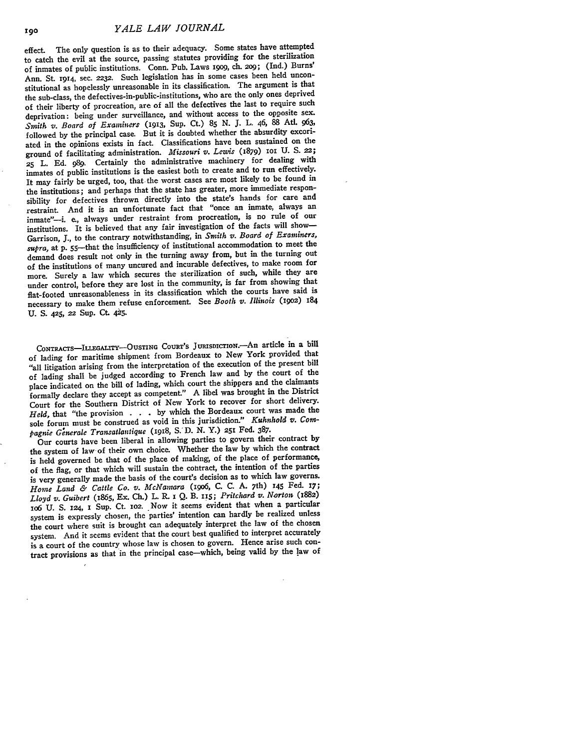*YALE LAW JOURNAL*

effect. The only question is as to their adequacy. Some states have attempted to catch the evil at the source, passing statutes providing for the sterilization of inmates of public institutions. Conn. Pub. Laws i9og, ch. *2og;* (Ind.) Burns' Ann. **St. 1914,** sec. **2232.** Such legislation has in some cases been held unconstitutional as hopelessly unreasonable in its classification. The argument is that the sub-class, the defectives-in-public-institutions, who are the only ones deprived of their liberty of procreation, are of all the defectives the last to require such deprivation: being under surveillance, and without access to the opposite sex. *Smith v. Board of Examiners* (1913, Sup. Ct.) 85 N. J. L. 46, 88 Atl. 963, followed by the principal case. But it is doubted whether the absurdity excoriated in the opinions exists in fact. Classifications have been sustained on the ground of facilitating administration. *Missouri v. Lewis* (1879) ioi U. **S.** 22; **<sup>25</sup>**L. Ed. **989.** Certainly the administrative machinery for dealing with inmates of public institutions is the easiest both to create and to run effectively. It may fairly be urged, too, that the worst cases are most likely to be found in the institutions; and perhaps that the state has greater, more immediate responsibility for defectives thrown directly into the state's hands for care and restraint. And it is an unfortunate fact that "once an inmate, always an inmate"--i. e., always under restraint from procreation, is no rule of our institutions. It is believed that any fair investigation of the facts will show-Garrison, **J.,** to the contrary notwithstanding, in *Smith v. Board of Examiners, supra,* at p. 55-that the insufficiency of institutional accommodation to meet the demand does result not only in the turning away from, but in the turning out of the institutions of many uncured and incurable defectives, to make room for more. Surely a law which secures the sterilization of such, while they are under control, before they are lost in the community, is far from showing that flat-footed unreasonableness in its classification which the courts have said is necessary to make them refuse enforcement. See *Booth v. Illinois* **(1902)** <sup>184</sup> **U. S. 425, 22 Sup.** Ct. **45.**

CONTRACTS-ILLEGALITY-OUSTING COURT'S JURISDICTION.-An article in a bill of lading for maritime shipment from Bordeaux to New York provided that "all litigation arising from the interpretation of the execution of the present bill of lading shall be judged according to French law and **by** the court of the place indicated on the bill of lading, which court the shippers and the claimants formally declare they accept as competent." **A** libel was brought in the District Court for the Southern District of New York to recover for short delivery. *Held,* that "the provision . . **.** by which the Bordeaux court was made the sole forum must be construed as void in this jurisdiction." *Kuhnhold v. Compagnie G~nerale Transatlantique* (i918, **S.'D. N.** Y.) **251** Fed. **387.**

Our courts have been liberal in allowing parties to govern their contract by the system of law of their own choice. Whether the law **by** which the contract is held governed be that of the place of making, of the place of performance, of the flag, or that which will sustain the cotitract, the intention of the parties is very generally made the basis of the court's decision as to which law governs. *Home Land & Cattle Co. v. McNamara* (i9o6, C. C. **A.** 7th) **145** Fed. i7; *Lloyd v. Guibert* (i865, Ex. Ch.) L. **IL** *i* Q. B. 115; *Pritchard v. Norton* **(1882)** io6 U. S. 124, **i** Sup. Ct. **1o2.** Now it seems evident that when a particular system is expressly chosen, the parties' intention can hardly be realized unless the court where suit is brought can adequately interpret the law of the chosen system. And it seems evident that the court best qualified to interpret accurately is a court of the country whose law is chosen to govern. Hence arise such contract provisions as that in the principal case-which, being valid by the law of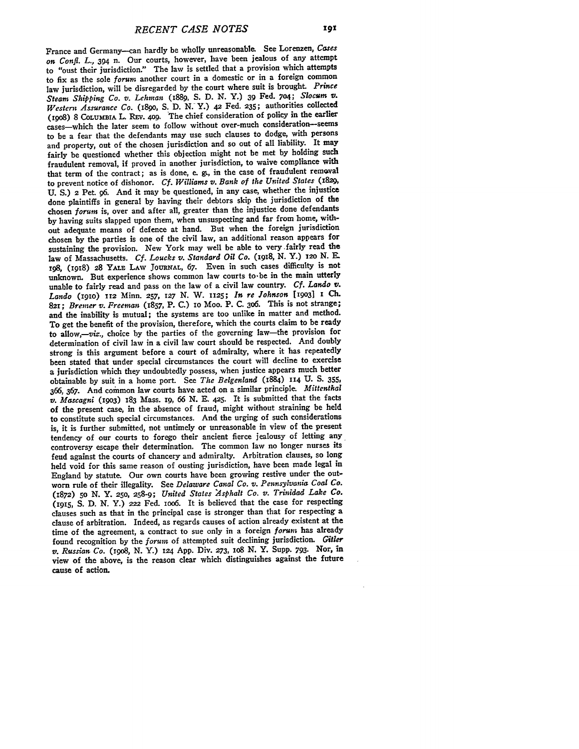France and Germany-can hardly be wholly unreasonable. See Lorenzen, *Cases on Confl. L., 3g4* n. Our courts, however, have been jealous of any attempt to "oust their jurisdiction." The law is settled that a provision which attempts to fix as the sole *forum* another court in a domestic or in a foreign common law jurisdiction, will be disregarded **by** the court where suit is brought. *Prince Steam Shipping Co. v. Lehman* **(x889, S.** D. N. Y.) **39** Fed. **704;** *Slocum v. Western Assurance Co.* **(i89o, S.** D. N.-Y.) **42** Fed. **235;** authorities collected **(1908)** 8 **COLUMBIA** L. REv. **409.** The chief consideration of policy in the earlier cases-which the later seem to follow without over-much consideration-seems to be a fear that the defendants may use such clauses to dodge, with persons and property, out of the chosen jurisdiction and so out of all liability. It may fairly be questioned whether this objection might not be met by holding such fraudulent removal, if proved in another jurisdiction, to waive compliance with that term of the contract; as is done, e. **g.,** in the case of fraudulent remaval to prevent notice of dishonor. *Cf. Williams v. Bank of the United States* **(1829, U. S.) 2** Pet. *96.* And it may be questioned, in any case, whether the injustice done plaintiffs in general by having their debtors skip the jurisdiction of the chosen *forum* is, over and after all, greater than the injustice done defendants **by** having suits slapped upon them, when unsuspecting and far from home, without adequate means of defence at hand. But when the foreign jurisdiction chosen **by** the parties is one of the civil law, an additional reason appears for sustaining the provision. New York may well be able to very fairly read the law of Massachusetts. *Cf. Loucks v. Standard Oil Co.* (1918, **N.** Y.) *12o* **N.** E. 198, (1918) 28 YALE LAW JOURNAL, 67. Even in such cases difficulty is not unknown. But experience shows common law courts to-be in the main utterly unable to fairly read and pass on the law of a civil law country. *Cf. Lando v. Lando* (igio) *I2* Minn. **257, 127 N.** W. **I125;** *In re Johnson* [i9o3] **I Ch.** 821; *Bremer v. Freeman* (1857, P. **C.)** io Moo. P. **C.** 3o6. This is not strange; and the inability is mutual; the systems are too unlike in matter and method. To get the benefit of the provision, therefore, which the courts claim to be ready to allow,-viz., choice **by** the parties of the governing law-the provision for determination of civil law in a civil law court should be respected. And doubly strong is this argument before a court of admiralty, where it has repeatedly been stated that under special circumstances the court will decline to exercise a jurisdiction which they undoubtedly possess, when justice appears much better obtainable **by** suit in a home port. See *The Belgenland* **(1884) 114 U. S. 355,** 366, **367.** And common law courts have acted on a similar principle. *Mittenthal v. Mascagni* **(i9o3) 183** Mass. ig, **66 N. E.** 425. It is submitted that the facts of the present case, in the absence of fraud, might without straining be held to constitute such special circumstances. And the urging of such considerations is, it is further submitted, not untimely or unreasonable in view of the present tendency of our courts to forego their ancient fierce jealousy of letting any controversy escape their determination. The common law no longer nurses its feud against the courts of chancery and admiralty. Arbitration clauses, so long held void for this same reason of ousting jurisdiction, have been made legal in England **by** statute. Our own courts have been growing restive under the outworn rule of their illegality. See *Delaware Canal Co. v. Pennsylvania Coal Co.* (1872) 5o **N.** Y. **25o, 258-9;** *United States ;4sphalt Co. v. Trinidad Lake Co.* **(1915, S. D. N.** Y.) **=** Fed. ioo6. It is believed that the case for respecting clauses such as that in the principal case is stronger than that for respecting a clause of arbitration. Indeed, as regards causes of action already existent at the time of the agreement, a contract to sue only in a foreign *forum* has already found recognition **by** the *forum* of attempted suit declining jurisdiction. *Gitler v. Russian Co.* (i9o8, **N.** Y.) **124 App.** Div. **273,** zo8 **N.** Y. Supp. **793.** Nor, in view of the above, is the reason clear which distinguishes against the future cause of action.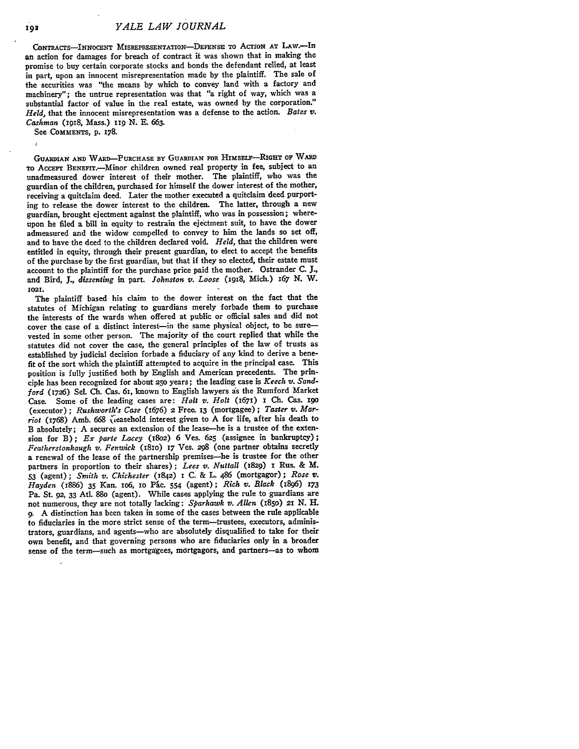CONTRACTS-INNOCENT MISREPRESENTATION-DEFENSE TO ACTION AT LAW.-In an action for damages for breach of contract it was shown that in making the promise to buy certain corporate stocks and bonds the defendant relied, at least in part, upon an innocent misrepresentation made by the plaintiff. The sale of the securities was "the means by which to convey land with a factory and machinery"; the untrue representation was that "a right of way, which was a substantial factor of value in the real estate, was owned **by** the corporation." *Held,* that the innocent misrepresentation was a defense to the action. *Bates v.* Cashman (i918, Mass.) iig **N.** E. 663.

See COMMENTS, p. **x78.**

**GUARDIAN AND WARD-PURCHASE BY GUARDIAN FOR** HIMSELF-RIGHT **OF** WARD TO ACCEPT BENEFIT.--Minor children owned real property in fee, subject to an unadmeasured dower interest of their mother. The plaintiff, who was the guardian of the children, purchased for himself the dower interest of the mother, receiving a quitclaim deed. Later the mother executed a quitclaim deed purporting to release the dower interest to the children. The latter, through a new guardian, brought ejectment against the plaintiff, who was in possession; whereupon he filed a bill in equity to restrain the ejectment suit, to have the dower admeasured and the widow compelled to convey to him the lands so set off, and to have the deed to the children declared void. *Held,* that the children were entitled in equity, through their present guardian, to elect to accept the benefits of the purchase by the first guardian, but that if they so elected, their estate must account to the plaintiff for the purchase price paid the mother. Ostrander C. **J.,** and Bird, **J.,** *dissenting* in part. *Johnston v. Loose* (i918, Mich.) 167 N. W. **IO21.**

The plaintiff based his claim to the dower interest on the fact that the statutes of Michigan relating to guardians merely forbade them to purchase the interests of the wards when offered at public or official sales and did not cover the case of a distinct interest-in the same physical object, to be surevested in some other person. The majority of the court replied that while the statutes did not cover the case, the general principles of the law of trusts as established **by** judicial decision forbade a fiduciary of any kind to derive a benefit of the sort which the plaintiff attempted to acquire in the principal case. This position is fully justified both **by** English and American precedents. The principle has been recognized for about **25o** years; the leading case is *Keech v. Sandford* (1726) Sel. **Ch.** Cas. **6i,** known to English lawyers as the Rumford Market Case. Some of the leading cases are: *Holt v. Holt (1671)* **1 Ch.** Cas. Igo (executor) **;** *Rushworth's Case* (1676) **2** Free. **13** (mortgagee); *Taster v. Marriot* **(1768)** Amb. **668** Ceasehold interest given to **A** for life, after his death to B absolutely; **A** secures an extension of the lease-he is a trustee of the extension for B); *Ex* parte *Lacey* (18o2) **6** Ves. **625** (assignee in bankruptcy); *Featherstonhaugh v. Fenwick* (i8io) **17** Ves. **298** (one partner obtains secretly a renewal of the lease of the partnership premises-he is trustee for the other partners in proportion to their shares) **;** *Lees v. Nuttall* **(x829) I** Rus. **&** M. **<sup>53</sup>**(agent); *Smith v. Chichester* (1842) **i C.** & L. 486 (mortgagor); *Rose v. Hayden* (1886) 35 Kan. io6, IO Pic. 554 (agent); *Rich v. Black* (1896) **<sup>173</sup>** Pa. St. **92, 33** AtI. 88o (agent). While cases applying the rule to guardians are not numerous, they are not totally lacking: *Sparhazk v. Allen* **(I85o) 21 N.** H. **9. A** distinction has been taken in some of the cases between the rule applicable to fiduciaries in the more strict sense of the term-trustees, executors, administrators, guardians, and agents-who are absolutely disqualified to take for their own benefit, and that governing persons who are fiduciaries only in a broader sense of the term-such as mortgagees, mortgagors, and partners-as to whom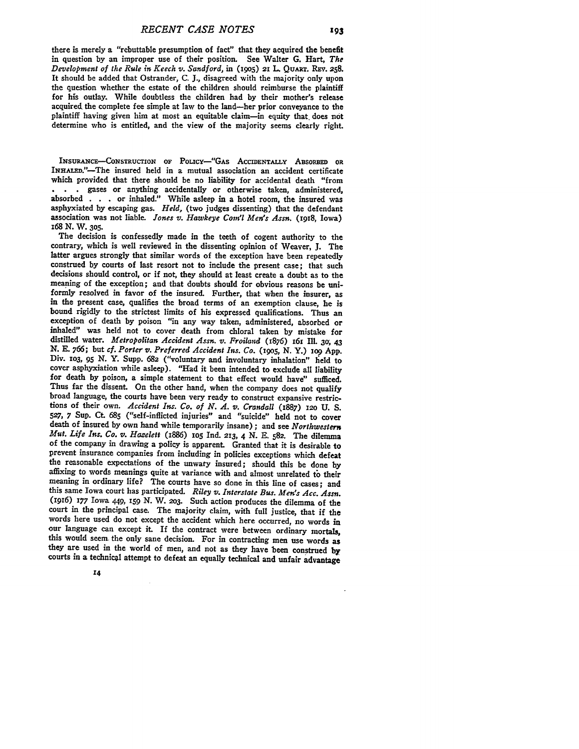**INSURANcE-CoNsTRUcTION OF** PoLtcy-"GAs **ACCIDENTALLY** ABSORBED **OR** INHALED."--The insured held in a mutual association an accident certificate which provided that there should be no liability for accidental death "from which provides absorted that the same interest in a line of a line should absorbed . . . or inhaled." While asleep in a hotel room, the insured was asphyxiated by escaping gas. *Held,* (two judges dissenting) that the defendant association was not liable. *Jones v. Hawkeye Com'l Men's Assn.* (1918, Iowa) *168* **N.** W. **305.**

The decision is confessedly made in the teeth of cogent authority to the contrary, which is well reviewed in the dissenting opinion of Weaver, **J.** The latter argues strongly that similar words of the exception have been repeatedly construed **by** courts of last resort not to include the present case; that such decisions should control, or if not, they should at least create a doubt as to the meaning of the exception; and that doubts should for obvious reasons be uniformly resolved in favor of the insured. Further, that when the insurer, as in the present case, qualifies the broad terms of an exemption clause, he is bound rigidly to the strictest limits of his expressed qualifications exception of death by poison "in any way taken, administered, absorbed or inhaled" was held not to cover death from chloral taken by mistake for distilled water. *Metropolitan Accident Assn. v. Froiland (1876)* 16i **IlL. 30,** 43 N. E. 766; but cf. Porter v. Preferred Accident Ins. Co. (1905, N. Y.) 109 App. Div. 103, 95 N. Y. Supp. 682 ("voluntary and involuntary inhalation" held to cover asphyxiation while asleep). "Had it been intended to exclud for death **by** poison, a simple statement to that effect would have" sufficed. Thus far the dissent. On the other hand, when the company does not qualify broad language, the courts have been very ready to construct expansive restrictions of their own. *Accident Ins. Co. of N. A. v. Crandall* (i887) **I2o U. S.** death of insured by own hand while temporarily insane); and see *Northwestern Mut. Life Ins. Co. v. Hazelett* (i886) **io5** Ind. **213,** 4 **N. E.** 582. The dilemma of the company in drawing a policy is apparent. Granted that it is desirable to prevent insurance companies from including in policies exceptions which defeat the reasonable expectations of the unwary insured; should this be done by affixing to words meanings quite at variance with and almost unrelated **to** their meaning in ordinary life? The courts have so done in this line of cases; and this same Iowa court has participated. *Riley v. Interstate Bus. Men's Acc. Assns.* (x916) **i77** Iowa 449, i59 N. W. **203.** Such action produces the dilemma of the court in the principal case. The majority claim, with full justice, that if the words here used do not except the accident which here occurred, no words in our language can except it. If the contract were between ordinary mortals, this would seem, the only sane decision. For in contracting men use words as they are used in the world of men, and not as they have been construed **by** courts in a technical attempt to defeat an equally technical and unfair advantage

 $\bar{z}$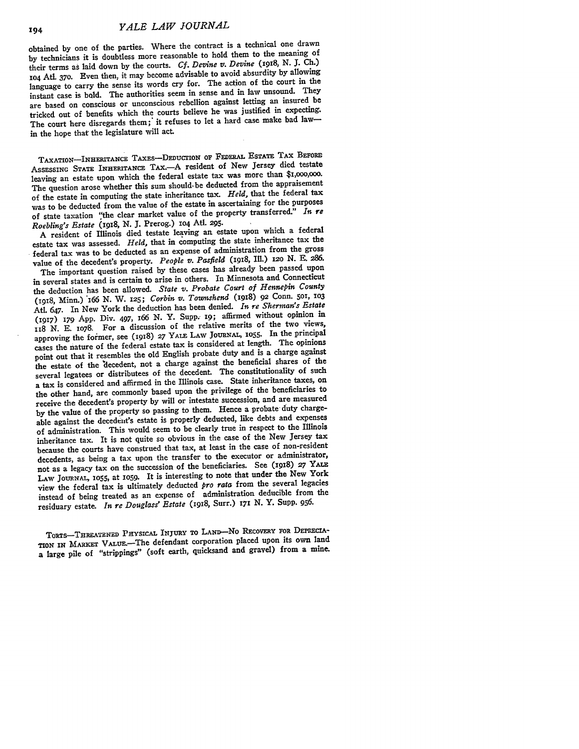obtained **by** one of the parties. Where the contract is a technical one drawn **by** technicians it is doubtless more reasonable to hold them to the meaning of their terms as laid down **by** the courts. *Cf. Devine v. Devine (i918,* **N. J. Ch.) 104 Atl. 370.** Even then, it may become advisable to avoid absurdity **by** allowing language to carry the sense its words cry for. The action of the court in the instant case is bold. The authorities seem in sense and in law unsound. They are based on conscious or unconscious rebellion against letting an insured be tricked out of benefits which the courts believe he was justified in expecting. The court here disregards them; it refuses to let a hard case make bad lawin the hope that the legislature will act.

**TAXATION-INHERITANCE TAXES-DEDUCTION OF FEDERAL ESTATE TAX BEFORE** ASSESSING STATE INHERITANCE TAX.<sup>---</sup>A resident of New Jersey died testate leaving an estate upon which the federal estate tax was more than \$1,000,000. The question arose whether this sum should-be deducted from the appraisement of the estate in computing the state inheritance tax. *Held,* that the federal tax was to be deducted from the value of the estate in ascertaining for the purposes of state taxation "the clear market value of the property transferred." *In re Roebling's Estate* **(I9i8, N. J.** Prerog.) **IO4 AtL 295.**

**<sup>A</sup>**resident of Illinois died testate leaving an estate upon which a federal estate tax was assessed. *Held,* that in computing the state inheritance tax the federal tax was to be deducted as an expense of administration from the gross value of the decedent's property. *People v. Pasfield* (I918, **Ill.) 12o N. E. 286.**

The important question raised **by** these cases has already been passed upon in several states and is certain to arise in others. In Minnesota and Connecticut the deduction has been allowed. *State v. Probate Court of Hennepin County* (i918, Minn.) "i66 **N.** W. **125;** *Corbin v. Townshend* (i918) **92** Conn. **501, 103** Atl. 647. In New York the deduction has been denied. In *re Sherman's Estate* **(i917) i79 App.** Div. 497, 166 **N.** Y. Supp. ig; affirmed without opinion in ii8 **N. E.** io78. For a discussion of the relative merits of the two views, approving the former, see (1918) **27 YALE LAW JOURNAL, io55.** In the principal cases the nature of the federal estate tax is considered at length. The opinions point out that it resembles the old English probate duty and is a charge against the estate of the 'lecedent, not a charge against the beneficial shares of the several legatees or distributees of the decedent. The constitutionality of such a tax is considered and affirmed in the Illinois case. State inheritance taxes, on the other hand, are commonly based upon the privilege of the beneficiaries to receive the decedent's property **by** will or intestate succession, and are measured **by** the value of the property so passing to them. Hence a probate duty chargeable against the decedent's estate is properly deducted, like debts and expenses of administration. This would seem to be clearly true in respect to the Illinois inheritance tax. It is not quite so obvious in the case of the New Jersey **tax** because the courts have construed that tax, at least in the case of non-resident decedents, as being a tax upon the transfer to the executor or administrator, not as a legacy tax on the succession of the beneficiaries. See (x918) **27 YALE LAW JouRNAI,** io55, at **1059.** It is interesting to note that under the New York view the federal tax is ultimately deducted *pro* rata from the several legacies instead of being treated as an expense of administration deducible from the residuary estate. *In re Douglass' Estate* (I9r8, Surr.) **i7i N.** Y. Supp. 956.

**ToRns--THREAENED** PHYsIcAL **INjURY o** LAND-No **REcovERY FOR DEPRECIA-**TION IN MARKET VALUE.-The defendant corporation placed upon its own land a large pile of "strippings" (soft earth, quicksand and gravel) from a mine.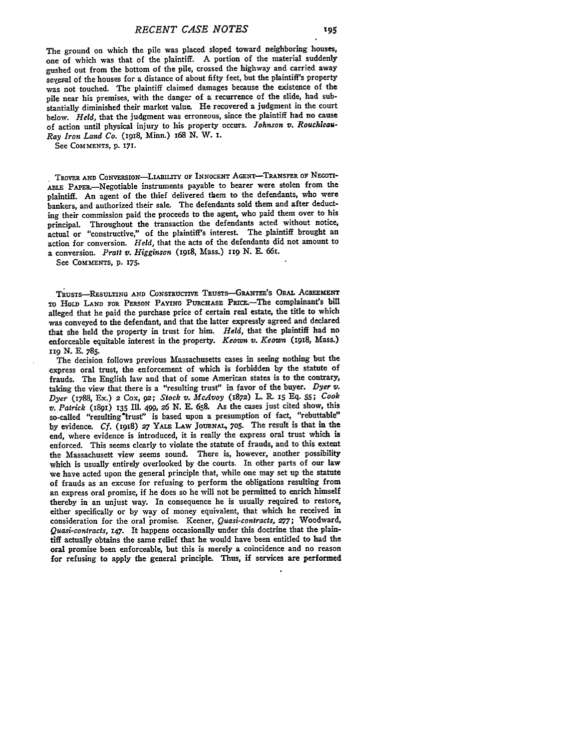The ground on which the pile was placed sloped toward neighboring houses, one of which was that of the plaintiff. A portion of the material suddenly gushed out from the bottom of the pile, crossed the highway and carried away several of the houses for a distance of about fifty feet, but the plaintiff's property was not touched. The plaintiff claimed damages because the existence of the pile near his premises, with the danger of a recurrence of the slide, had substantially diminished their market value. He recovered a judgment in the court below. *Held,* that the judgment was erroneous, since the plaintiff had no cause of action until physical injury to his property occurs. *Johnson v. Rouchleau-Ray Iron Land Co.* (1p18, Minn.) 168 **N.** W. **I.**

See COMMENTS, **p. 171.**

TRovER **AND** CONvERSIoN-LIABIITY **OF** INNOCENT **AGENT-TRANSFER OF NEGOT-**ABLE PAPER.-Negotiable instruments payable to bearer were stolen from the plaintiff. An agent of the thief delivered them to the defendants, who were bankers, and authorized their sale. The defendants sold them and after deducting their commission paid the proceeds to the agent, who paid them over to his principal. Throughout the transaction the defendants acted without notice, actual or "constructive," of the plaintiff's interest. The plaintiff brought an action for conversion. *Held,* that the acts of the defendants did not amount to a conversion. Pratt v. Higginson (1918, Mass.) 119 N. E. 661.

See COMMENTS, **p. 175.**

TRUSTS-RESULTING **AND CONSTRUCTIVE TRUSTs-GRANTEE'S ORAL AGREEMENT** To **HOLD LAND FOR** PERSON PAYING **PURCHASE** PRIcE.-The complainant's bill alleged that he paid the purchase price of certain real estate, the title to which was conveyed to the defendant, and that the latter expressly agreed and declared that she held the property in trust for him. *Held,* that the plaintiff had no enforceable equitable interest in the property. *Keown v. Keourn* (1918, Mass.) **II9 N. E. 785.**

The decision follows previous Massachusetts cases in seeing nothing but the express oral trust, the enforcement of which is forbidden **by** the statute of frauds. The English law and that of some American states is to the contrary, taking the view that there is a "resulting trust" in favor of the buyer. *Dyer v. Dyer* **(1788,** Ex.) *2* Cox, 92; *Stock v. McAvoy* (1872) L. R. **15 Eq. 55;** *Cook v. Patrick (i891)* **135** Ill. 499, **26** N. **E.** 658. As the cases just cited show, this so-called "resulting"trust" is based upon a presumption of fact, "rebuttable" **by** evidence. *Cf.* (I918) **27 YALE** LAW JoURNAL, **7o5.** The result is that in the end, where evidence is introduced, it is really the express oral trust which is enforced. This seems clearly to violate the statute of frauds, and to this extent the Massachusett view seems sound. There is, however, another possibility which is usually entirely overlooked by the courts. In other parts of our law we have acted upon the general principle that, while one may set up the statute of frauds as an excuse for refusing to perform the obligations resulting from an express oral promise, if he does so he will not be permitted to enrich himself thereby in an unjust way. In consequence he is usually required to restore, either specifically or **by** way of money equivalent, that which he received in consideration for the oral promise. Keener, *Quasi-contracts*, 277; Woodward, *Quasi-contracts,* **147.** It happens occasionally under this doctrine that the plaintiff actually obtains the same relief that he would have been entitled to had the oral promise been enforceable, but this is merely a coincidence and no reason for refusing to apply the general principle. Thus, if services are performed